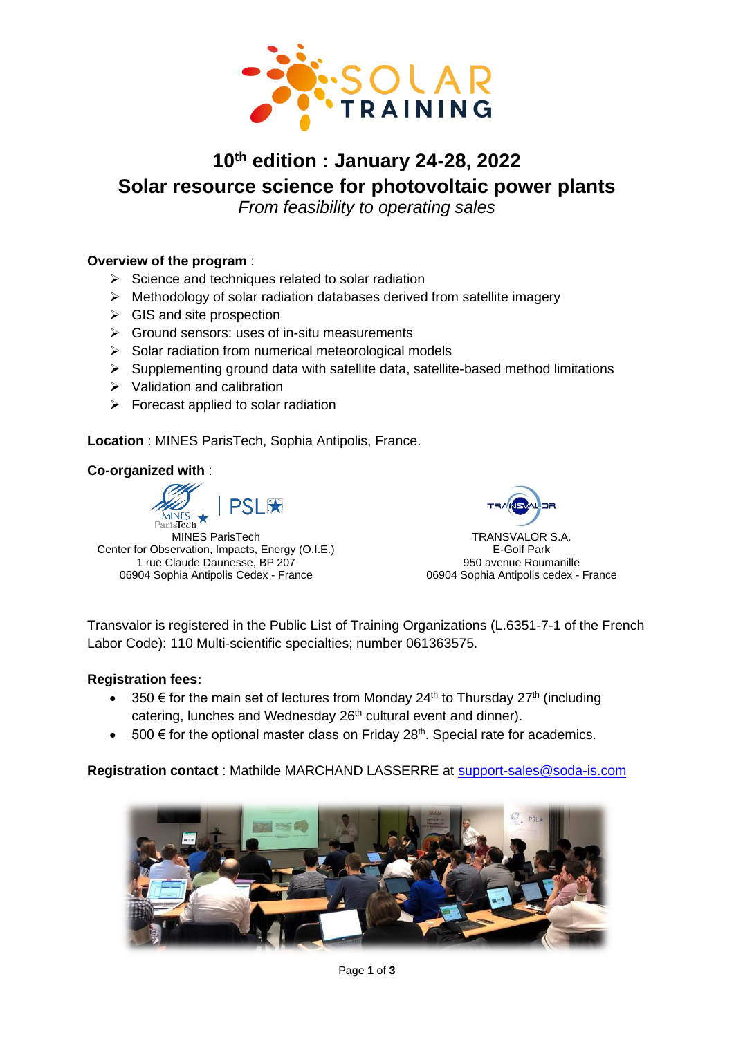

# **10th edition : January 24-28, 2022 Solar resource science for photovoltaic power plants**

*From feasibility to operating sales*

# **Overview of the program** :

- $\triangleright$  Science and techniques related to solar radiation
- $\triangleright$  Methodology of solar radiation databases derived from satellite imagery
- $\triangleright$  GIS and site prospection
- ➢ Ground sensors: uses of in-situ measurements
- ➢ Solar radiation from numerical meteorological models
- ➢ Supplementing ground data with satellite data, satellite-based method limitations
- ➢ Validation and calibration
- $\triangleright$  Forecast applied to solar radiation

**Location** : MINES ParisTech, Sophia Antipolis, France.

### **Co-organized with** :





TRANSVALOR S.A. E-Golf Park 950 avenue Roumanille 06904 Sophia Antipolis cedex - France

Transvalor is registered in the Public List of Training Organizations (L.6351-7-1 of the French Labor Code): 110 Multi-scientific specialties; number 061363575.

### **Registration fees:**

- 350  $\epsilon$  for the main set of lectures from Monday 24<sup>th</sup> to Thursday 27<sup>th</sup> (including catering, lunches and Wednesday 26<sup>th</sup> cultural event and dinner).
- 500  $\epsilon$  for the optional master class on Friday 28<sup>th</sup>. Special rate for academics.

## **Registration contact** : Mathilde MARCHAND LASSERRE at [support-sales@soda-is.com](mailto:support-sales@soda-is.com)

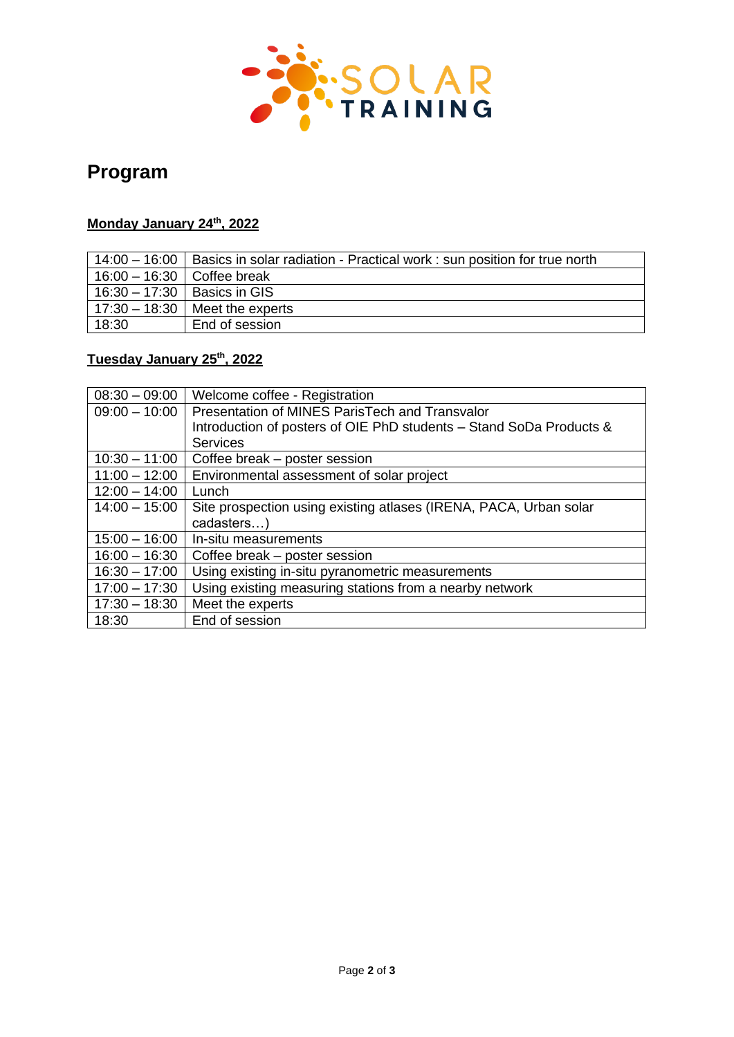

# **Program**

# **Monday January 24 th, 2022**

|                              | $14:00 - 16:00$   Basics in solar radiation - Practical work : sun position for true north |
|------------------------------|--------------------------------------------------------------------------------------------|
| $16:00 - 16:30$ Coffee break |                                                                                            |
|                              | 16:30 – 17:30   Basics in GIS                                                              |
|                              | $17:30 - 18:30$   Meet the experts                                                         |
| 18:30                        | End of session                                                                             |

# **Tuesday January 25th, 2022**

| $08:30 - 09:00$ | Welcome coffee - Registration                                       |  |
|-----------------|---------------------------------------------------------------------|--|
| $09:00 - 10:00$ | Presentation of MINES ParisTech and Transvalor                      |  |
|                 | Introduction of posters of OIE PhD students - Stand SoDa Products & |  |
|                 | <b>Services</b>                                                     |  |
| $10:30 - 11:00$ | Coffee break - poster session                                       |  |
| $11:00 - 12:00$ | Environmental assessment of solar project                           |  |
| $12:00 - 14:00$ | Lunch                                                               |  |
| $14:00 - 15:00$ | Site prospection using existing atlases (IRENA, PACA, Urban solar   |  |
|                 | cadasters)                                                          |  |
| $15:00 - 16:00$ | In-situ measurements                                                |  |
| $16:00 - 16:30$ | Coffee break – poster session                                       |  |
| $16:30 - 17:00$ | Using existing in-situ pyranometric measurements                    |  |
| $17:00 - 17:30$ | Using existing measuring stations from a nearby network             |  |
| $17:30 - 18:30$ | Meet the experts                                                    |  |
| 18:30           | End of session                                                      |  |